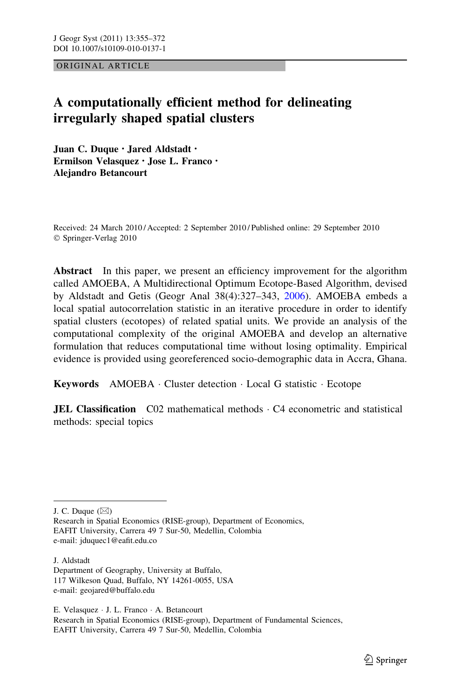ORIGINAL ARTICLE

# A computationally efficient method for delineating irregularly shaped spatial clusters

Juan C. Duque • Jared Aldstadt • Ermilson Velasquez • Jose L. Franco • Alejandro Betancourt

Received: 24 March 2010 / Accepted: 2 September 2010 / Published online: 29 September 2010 © Springer-Verlag 2010

Abstract In this paper, we present an efficiency improvement for the algorithm called AMOEBA, A Multidirectional Optimum Ecotope-Based Algorithm, devised by Aldstadt and Getis (Geogr Anal 38(4):327–343, [2006](#page-16-0)). AMOEBA embeds a local spatial autocorrelation statistic in an iterative procedure in order to identify spatial clusters (ecotopes) of related spatial units. We provide an analysis of the computational complexity of the original AMOEBA and develop an alternative formulation that reduces computational time without losing optimality. Empirical evidence is provided using georeferenced socio-demographic data in Accra, Ghana.

Keywords AMOEBA · Cluster detection · Local G statistic · Ecotope

**JEL Classification**  $C02$  mathematical methods  $\cdot$  C4 econometric and statistical methods: special topics

J. C. Duque  $(\boxtimes)$ 

Research in Spatial Economics (RISE-group), Department of Economics, EAFIT University, Carrera 49 7 Sur-50, Medellin, Colombia e-mail: jduquec1@eafit.edu.co

J. Aldstadt Department of Geography, University at Buffalo, 117 Wilkeson Quad, Buffalo, NY 14261-0055, USA e-mail: geojared@buffalo.edu

E. Velasquez - J. L. Franco - A. Betancourt Research in Spatial Economics (RISE-group), Department of Fundamental Sciences, EAFIT University, Carrera 49 7 Sur-50, Medellin, Colombia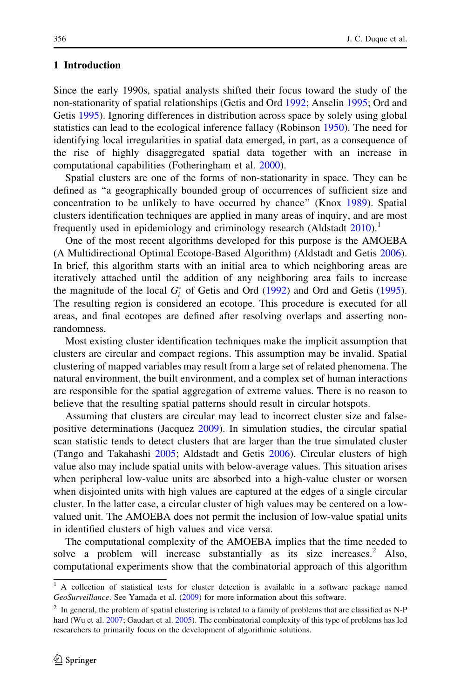### 1 Introduction

Since the early 1990s, spatial analysts shifted their focus toward the study of the non-stationarity of spatial relationships (Getis and Ord [1992;](#page-16-0) Anselin [1995;](#page-16-0) Ord and Getis [1995\)](#page-17-0). Ignoring differences in distribution across space by solely using global statistics can lead to the ecological inference fallacy (Robinson [1950](#page-17-0)). The need for identifying local irregularities in spatial data emerged, in part, as a consequence of the rise of highly disaggregated spatial data together with an increase in computational capabilities (Fotheringham et al. [2000](#page-16-0)).

Spatial clusters are one of the forms of non-stationarity in space. They can be defined as ''a geographically bounded group of occurrences of sufficient size and concentration to be unlikely to have occurred by chance'' (Knox [1989](#page-16-0)). Spatial clusters identification techniques are applied in many areas of inquiry, and are most frequently used in epidemiology and criminology research (Aldstadt  $2010$ ).<sup>1</sup>

One of the most recent algorithms developed for this purpose is the AMOEBA (A Multidirectional Optimal Ecotope-Based Algorithm) (Aldstadt and Getis [2006\)](#page-16-0). In brief, this algorithm starts with an initial area to which neighboring areas are iteratively attached until the addition of any neighboring area fails to increase the magnitude of the local  $G_i^*$  of Getis and Ord [\(1992](#page-16-0)) and Ord and Getis ([1995\)](#page-17-0). The resulting region is considered an ecotope. This procedure is executed for all areas, and final ecotopes are defined after resolving overlaps and asserting nonrandomness.

Most existing cluster identification techniques make the implicit assumption that clusters are circular and compact regions. This assumption may be invalid. Spatial clustering of mapped variables may result from a large set of related phenomena. The natural environment, the built environment, and a complex set of human interactions are responsible for the spatial aggregation of extreme values. There is no reason to believe that the resulting spatial patterns should result in circular hotspots.

Assuming that clusters are circular may lead to incorrect cluster size and falsepositive determinations (Jacquez [2009](#page-16-0)). In simulation studies, the circular spatial scan statistic tends to detect clusters that are larger than the true simulated cluster (Tango and Takahashi [2005;](#page-17-0) Aldstadt and Getis [2006\)](#page-16-0). Circular clusters of high value also may include spatial units with below-average values. This situation arises when peripheral low-value units are absorbed into a high-value cluster or worsen when disjointed units with high values are captured at the edges of a single circular cluster. In the latter case, a circular cluster of high values may be centered on a lowvalued unit. The AMOEBA does not permit the inclusion of low-value spatial units in identified clusters of high values and vice versa.

The computational complexity of the AMOEBA implies that the time needed to solve a problem will increase substantially as its size increases.<sup>2</sup> Also, computational experiments show that the combinatorial approach of this algorithm

<sup>&</sup>lt;sup>1</sup> A collection of statistical tests for cluster detection is available in a software package named GeoSurveillance. See Yamada et al. ([2009\)](#page-17-0) for more information about this software.

<sup>&</sup>lt;sup>2</sup> In general, the problem of spatial clustering is related to a family of problems that are classified as N-P hard (Wu et al. [2007](#page-17-0); Gaudart et al. [2005](#page-16-0)). The combinatorial complexity of this type of problems has led researchers to primarily focus on the development of algorithmic solutions.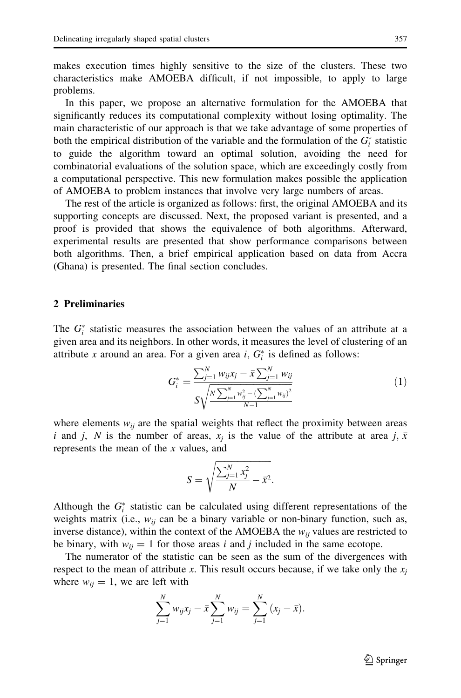makes execution times highly sensitive to the size of the clusters. These two characteristics make AMOEBA difficult, if not impossible, to apply to large problems.

In this paper, we propose an alternative formulation for the AMOEBA that significantly reduces its computational complexity without losing optimality. The main characteristic of our approach is that we take advantage of some properties of both the empirical distribution of the variable and the formulation of the  $G_i^*$  statistic to guide the algorithm toward an optimal solution, avoiding the need for combinatorial evaluations of the solution space, which are exceedingly costly from a computational perspective. This new formulation makes possible the application of AMOEBA to problem instances that involve very large numbers of areas.

The rest of the article is organized as follows: first, the original AMOEBA and its supporting concepts are discussed. Next, the proposed variant is presented, and a proof is provided that shows the equivalence of both algorithms. Afterward, experimental results are presented that show performance comparisons between both algorithms. Then, a brief empirical application based on data from Accra (Ghana) is presented. The final section concludes.

# 2 Preliminaries

The  $G_i^*$  statistic measures the association between the values of an attribute at a given area and its neighbors. In other words, it measures the level of clustering of an attribute x around an area. For a given area  $i, G_i^*$  is defined as follows:

$$
G_i^* = \frac{\sum_{j=1}^N w_{ij} x_j - \bar{x} \sum_{j=1}^N w_{ij}}{S \sqrt{\frac{N \sum_{j=1}^N w_{ij}^2 - (\sum_{j=1}^N w_{ij})^2}{N-1}}}
$$
(1)

where elements  $w_{ij}$  are the spatial weights that reflect the proximity between areas i and j, N is the number of areas,  $x_j$  is the value of the attribute at area j,  $\bar{x}$ represents the mean of the  $x$  values, and

$$
S = \sqrt{\frac{\sum_{j=1}^N x_j^2}{N} - \bar{x}^2}.
$$

Although the  $G_i^*$  statistic can be calculated using different representations of the weights matrix (i.e.,  $w_{ij}$  can be a binary variable or non-binary function, such as, inverse distance), within the context of the AMOEBA the  $w_{ij}$  values are restricted to be binary, with  $w_{ij} = 1$  for those areas i and j included in the same ecotope.

The numerator of the statistic can be seen as the sum of the divergences with respect to the mean of attribute x. This result occurs because, if we take only the  $x_i$ where  $w_{ij} = 1$ , we are left with

$$
\sum_{j=1}^{N} w_{ij} x_j - \bar{x} \sum_{j=1}^{N} w_{ij} = \sum_{j=1}^{N} (x_j - \bar{x}).
$$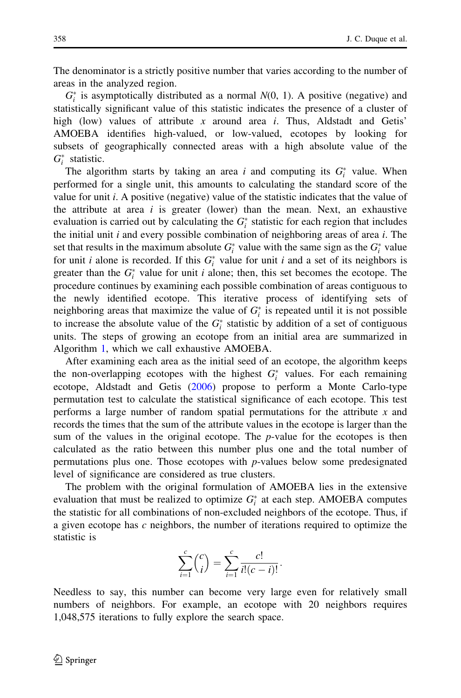The denominator is a strictly positive number that varies according to the number of areas in the analyzed region.

 $G_i^*$  is asymptotically distributed as a normal  $N(0, 1)$ . A positive (negative) and statistically significant value of this statistic indicates the presence of a cluster of high (low) values of attribute x around area  $i$ . Thus, Aldstadt and Getis' AMOEBA identifies high-valued, or low-valued, ecotopes by looking for subsets of geographically connected areas with a high absolute value of the  $G_i^*$  statistic.

The algorithm starts by taking an area i and computing its  $G_i^*$  value. When performed for a single unit, this amounts to calculating the standard score of the value for unit  $i$ . A positive (negative) value of the statistic indicates that the value of the attribute at area  $i$  is greater (lower) than the mean. Next, an exhaustive evaluation is carried out by calculating the  $G_i^*$  statistic for each region that includes the initial unit i and every possible combination of neighboring areas of area i. The set that results in the maximum absolute  $G_i^*$  value with the same sign as the  $G_i^*$  value for unit *i* alone is recorded. If this  $G_i^*$  value for unit *i* and a set of its neighbors is greater than the  $G_i^*$  value for unit *i* alone; then, this set becomes the ecotope. The procedure continues by examining each possible combination of areas contiguous to the newly identified ecotope. This iterative process of identifying sets of neighboring areas that maximize the value of  $G_i^*$  is repeated until it is not possible to increase the absolute value of the  $G_i^*$  statistic by addition of a set of contiguous units. The steps of growing an ecotope from an initial area are summarized in Algorithm [1](#page-4-0), which we call exhaustive AMOEBA.

After examining each area as the initial seed of an ecotope, the algorithm keeps the non-overlapping ecotopes with the highest  $G_i^*$  values. For each remaining ecotope, Aldstadt and Getis [\(2006](#page-16-0)) propose to perform a Monte Carlo-type permutation test to calculate the statistical significance of each ecotope. This test performs a large number of random spatial permutations for the attribute x and records the times that the sum of the attribute values in the ecotope is larger than the sum of the values in the original ecotope. The  $p$ -value for the ecotopes is then calculated as the ratio between this number plus one and the total number of permutations plus one. Those ecotopes with p-values below some predesignated level of significance are considered as true clusters.

The problem with the original formulation of AMOEBA lies in the extensive evaluation that must be realized to optimize  $G_i^*$  at each step. AMOEBA computes the statistic for all combinations of non-excluded neighbors of the ecotope. Thus, if a given ecotope has  $c$  neighbors, the number of iterations required to optimize the statistic is

$$
\sum_{i=1}^{c} {c \choose i} = \sum_{i=1}^{c} \frac{c!}{i!(c-i)!}.
$$

Needless to say, this number can become very large even for relatively small numbers of neighbors. For example, an ecotope with 20 neighbors requires 1,048,575 iterations to fully explore the search space.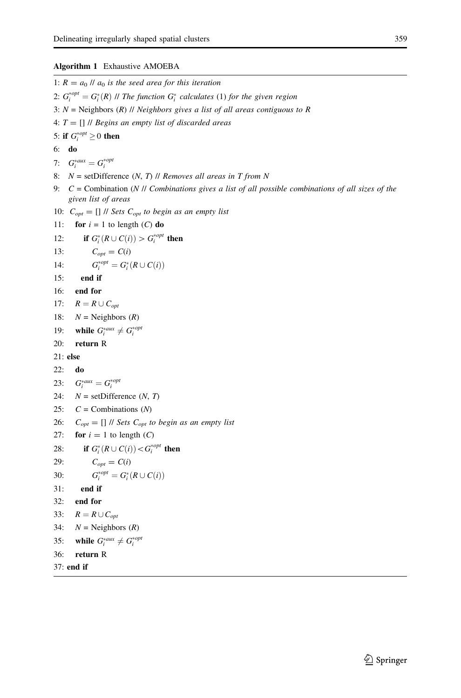#### <span id="page-4-0"></span>Algorithm 1 Exhaustive AMOEBA

1:  $R = a_0$  //  $a_0$  is the seed area for this iteration 2:  $G_i^{*}^{opt} = G_i^{*}(R)$  // The function  $G_i^{*}$  calculates (1) for the given region 3:  $N =$  Neighbors (R) // Neighbors gives a list of all areas contiguous to R 4:  $T = []$  // Begins an empty list of discarded areas 5: if  $G_i^{*opt} \geq 0$  then 6: do 7:  $G_i^{*aux} = G_i^{*opt}$ 8:  $N =$  setDifference  $(N, T)$  // Removes all areas in T from N 9:  $C =$  Combination (N // Combinations gives a list of all possible combinations of all sizes of the given list of areas 10:  $C_{opt} = []$  // Sets  $C_{opt}$  to begin as an empty list 11: for  $i = 1$  to length  $(C)$  do 12: **if**  $G_i^*(R \cup C(i)) > G_i^{*opt}$  then 13:  $C_{opt} = C(i)$ 14:  $G_i^{*opt} = G_i^*(R \cup C(i))$ 15: end if 16: end for 17:  $R = R \cup C_{\text{ont}}$ 18:  $N =$  Neighbors  $(R)$ 19: while  $G_i^{*aux} \neq G_i^{*opt}$ 20: return R 21: else 22: do 23:  $G_i^{*aux} = G_i^{*opt}$ 24:  $N =$  setDifference (*N*, *T*) 25:  $C =$  Combinations  $(N)$ 26:  $C_{opt} = []$  // Sets  $C_{opt}$  to begin as an empty list 27: for  $i = 1$  to length  $(C)$ 28: **if**  $G_i^*(R \cup C(i)) < G_i^{*opt}$  then 29:  $C_{opt} = C(i)$ 30:  $G_i^{*opt} = G_i^*(R \cup C(i))$ 31: end if 32: end for 33:  $R = R \cup C_{\text{ont}}$ 34:  $N =$  Neighbors  $(R)$ 35: while  $G_i^{*aux} \neq G_i^{*opt}$ 36: return R 37: end if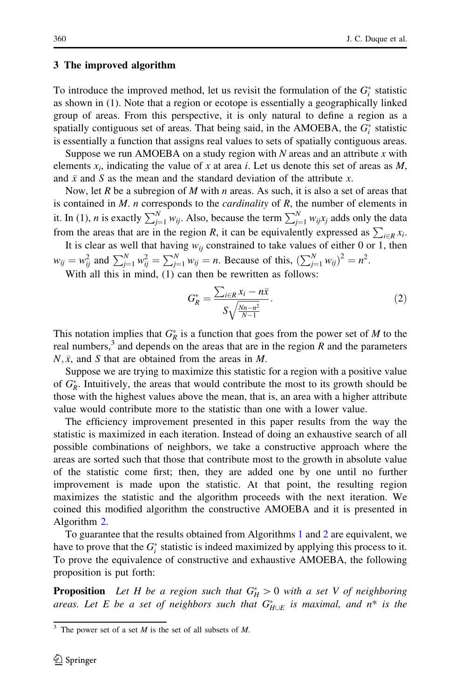### 3 The improved algorithm

To introduce the improved method, let us revisit the formulation of the  $G_i^*$  statistic as shown in (1). Note that a region or ecotope is essentially a geographically linked group of areas. From this perspective, it is only natural to define a region as a spatially contiguous set of areas. That being said, in the AMOEBA, the  $G_i^*$  statistic is essentially a function that assigns real values to sets of spatially contiguous areas.

Suppose we run AMOEBA on a study region with  $N$  areas and an attribute  $x$  with elements  $x_i$ , indicating the value of x at area i. Let us denote this set of areas as M, and  $\bar{x}$  and S as the mean and the standard deviation of the attribute x.

Now, let R be a subregion of M with n areas. As such, it is also a set of areas that is contained in  $M$ . *n* corresponds to the *cardinality* of  $R$ , the number of elements in it. In (1), *n* is exactly  $\sum_{j=1}^{N} w_{ij}$ . Also, because the term  $\sum_{j=1}^{N} w_{ij}x_j$  adds only the data from the areas that are in the region R, it can be equivalently expressed as  $\sum_{i \in R} x_i$ . It is clear as well that having  $w_{ij}$  constrained to take values of either 0 or 1, then

 $w_{ij} = w_{ij}^2$  and  $\sum_{j=1}^{N} w_{ij}^2 = \sum_{j=1}^{N} w_{ij} = n$ . Because of this,  $(\sum_{j=1}^{N} w_{ij})^2 = n^2$ . With all this in mind, (1) can then be rewritten as follows:

$$
G_R^* = \frac{\sum_{i \in R} x_i - n\bar{x}}{S\sqrt{\frac{Nn - n^2}{N - 1}}}.
$$
\n(2)

This notation implies that  $G_R^*$  is a function that goes from the power set of M to the real numbers,<sup>3</sup> and depends on the areas that are in the region  $R$  and the parameters  $N, \bar{x}$ , and S that are obtained from the areas in M.

Suppose we are trying to maximize this statistic for a region with a positive value of  $G_R^*$ . Intuitively, the areas that would contribute the most to its growth should be those with the highest values above the mean, that is, an area with a higher attribute value would contribute more to the statistic than one with a lower value.

The efficiency improvement presented in this paper results from the way the statistic is maximized in each iteration. Instead of doing an exhaustive search of all possible combinations of neighbors, we take a constructive approach where the areas are sorted such that those that contribute most to the growth in absolute value of the statistic come first; then, they are added one by one until no further improvement is made upon the statistic. At that point, the resulting region maximizes the statistic and the algorithm proceeds with the next iteration. We coined this modified algorithm the constructive AMOEBA and it is presented in Algorithm [2](#page-6-0).

To guarantee that the results obtained from Algorithms [1](#page-4-0) and [2](#page-6-0) are equivalent, we have to prove that the  $G_i^*$  statistic is indeed maximized by applying this process to it. To prove the equivalence of constructive and exhaustive AMOEBA, the following proposition is put forth:

**Proposition** Let H be a region such that  $G_H^* > 0$  with a set V of neighboring areas. Let E be a set of neighbors such that  $G^*_{H\cup E}$  is maximal, and  $n^*$  is the

<sup>&</sup>lt;sup>3</sup> The power set of a set *M* is the set of all subsets of *M*.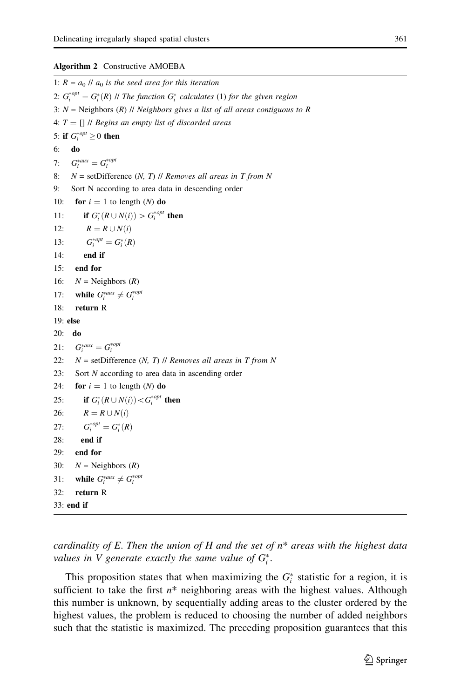#### <span id="page-6-0"></span>Algorithm 2 Constructive AMOEBA

1:  $R = a_0$  //  $a_0$  is the seed area for this iteration 2:  $G_i^{*}^{opt} = G_i^{*}(R)$  // The function  $G_i^{*}$  calculates (1) for the given region 3:  $N =$  Neighbors (R) // Neighbors gives a list of all areas contiguous to R 4:  $T = \prod \text{II}$  Begins an empty list of discarded areas 5: if  $G_i^{*opt} \geq 0$  then 6: do 7:  $G_i^{*aux} = G_i^{*opt}$ 8:  $N =$  setDifference  $(N, T)$  // Removes all areas in T from N 9: Sort N according to area data in descending order 10: for  $i = 1$  to length (N) do 11: **if**  $G_i^*(R \cup N(i)) > G_i^{*opt}$  then 12:  $R = R \cup N(i)$ 13:  $G_i^{*opt} = G_i^*(R)$ 14: end if 15: end for 16:  $N =$  Neighbors  $(R)$ 17: while  $G_i^{*aux} \neq G_i^{*opt}$ 18: return R 19: else 20: do 21:  $G_i^{*aux} = G_i^{*opt}$ 22:  $N =$  setDifference  $(N, T)$  // Removes all areas in T from N 23: Sort N according to area data in ascending order 24: for  $i = 1$  to length (N) do 25: if  $G_i^*(R \cup N(i)) < G_i^{*opt}$  then 26:  $R = R \cup N(i)$ 27:  $G_i^{*opt} = G_i^*(R)$ 28: end if 29: end for 30:  $N =$  Neighbors  $(R)$ 31: while  $G_i^{*aux} \neq G_i^{*opt}$ 32: return R 33: end if

cardinality of E. Then the union of H and the set of  $n^*$  areas with the highest data values in V generate exactly the same value of  $G_i^*$ .

This proposition states that when maximizing the  $G_i^*$  statistic for a region, it is sufficient to take the first  $n^*$  neighboring areas with the highest values. Although this number is unknown, by sequentially adding areas to the cluster ordered by the highest values, the problem is reduced to choosing the number of added neighbors such that the statistic is maximized. The preceding proposition guarantees that this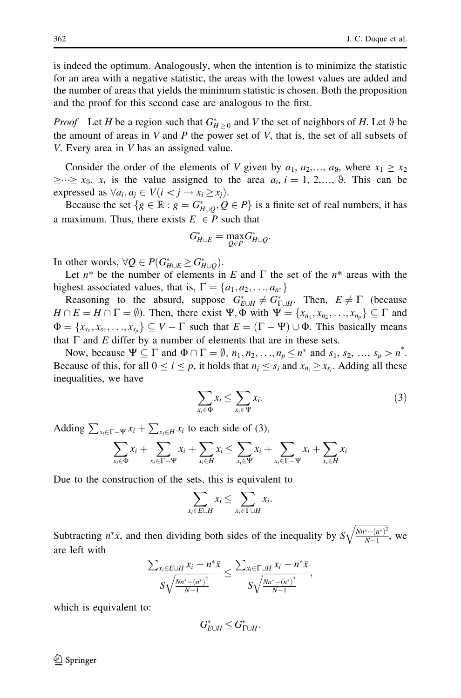is indeed the optimum. Analogously, when the intention is to minimize the statistic for an area with a negative statistic, the areas with the lowest values are added and the number of areas that yields the minimum statistic is chosen. Both the proposition and the proof for this second case are analogous to the first.

*Proof* Let *H* be a region such that  $G_{H\geq 0}^*$  and *V* the set of neighbors of *H*. Let 9 be the amount of areas in V and P the power set of V, that is, the set of all subsets of V. Every area in V has an assigned value.

Consider the order of the elements of V given by  $a_1, a_2,..., a_9$ , where  $x_1 \ge x_2$  $\geq \geq \geq x_9$ .  $x_i$  is the value assigned to the area  $a_i$ ,  $i = 1, 2, \ldots, 9$ . This can be expressed as  $\forall a_i, a_j \in V (i \leq j \rightarrow x_i \geq x_j)$ .

Because the set  $\{g \in \mathbb{R} : g = G_{H \cup Q}^*, Q \in P\}$  is a finite set of real numbers, it has a maximum. Thus, there exists  $E \in P$  such that

$$
G_{H\cup E}^* = \max_{Q\in P} G_{H\cup Q}^*.
$$

In other words,  $\forall Q \in P(G^*_{H \cup E} \geq G^*_{H \cup Q})$ .

Let  $n^*$  be the number of elements in E and  $\Gamma$  the set of the  $n^*$  areas with the highest associated values, that is,  $\Gamma = \{a_1, a_2, \ldots, a_n\}$ 

Reasoning to the absurd, suppose  $G_{E \cup H}^* \neq G_{\Gamma \cup H}^*$ . Then,  $E \neq \Gamma$  (because  $H \cap E = H \cap \Gamma = \emptyset$ ). Then, there exist  $\Psi$ ,  $\Phi$  with  $\Psi = \{x_{n_1}, x_{n_2}, \ldots, x_{n_n}\} \subseteq \Gamma$  and  $\Phi = \{x_{s_1}, x_{s_2}, \ldots, x_{s_p}\} \subseteq V - \Gamma$  such that  $E = (\Gamma - \Psi) \cup \Phi$ . This basically means that  $\Gamma$  and  $E$  differ by a number of elements that are in these sets.

Now, because  $\Psi \subseteq \Gamma$  and  $\Phi \cap \Gamma = \emptyset$ ,  $n_1, n_2, \ldots, n_p \leq n^*$  and  $s_1, s_2, \ldots, s_p > n^*$ . Because of this, for all  $0 \le i \le p$ , it holds that  $n_i \le s_i$  and  $x_{n_i} \ge x_{s_i}$ . Adding all these inequalities, we have

$$
\sum_{x_i \in \Phi} x_i \le \sum_{x_i \in \Psi} x_i. \tag{3}
$$

Adding  $\sum_{x_i \in \Gamma - \Psi} x_i + \sum_{x_i \in H} x_i$  to each side of (3),

$$
\sum_{x_i \in \Phi} x_i + \sum_{x_i \in \Gamma - \Psi} x_i + \sum_{x_i \in H} x_i \le \sum_{x_i \in \Psi} x_i + \sum_{x_i \in \Gamma - \Psi} x_i + \sum_{x_i \in H} x_i
$$

Due to the construction of the sets, this is equivalent to

$$
\sum_{x_i \in E \cup H} x_i \le \sum_{x_i \in \Gamma \cup H} x_i.
$$

Subtracting  $n^*\bar{x}$ , and then dividing both sides of the inequality by S  $Nn^*-(n^*)^2$  $N-1$  $\overline{a}$ , we are left with

$$
\frac{\sum_{x_i \in E \cup H} x_i - n^* \bar{x}}{S\sqrt{\frac{Nn^* - (n^*)^2}{N-1}}} \leq \frac{\sum_{x_i \in \Gamma \cup H} x_i - n^* \bar{x}}{S\sqrt{\frac{Nn^* - (n^*)^2}{N-1}}},
$$

which is equivalent to:

$$
G^*_{E\cup H}\leq G^*_{\Gamma\cup H}.
$$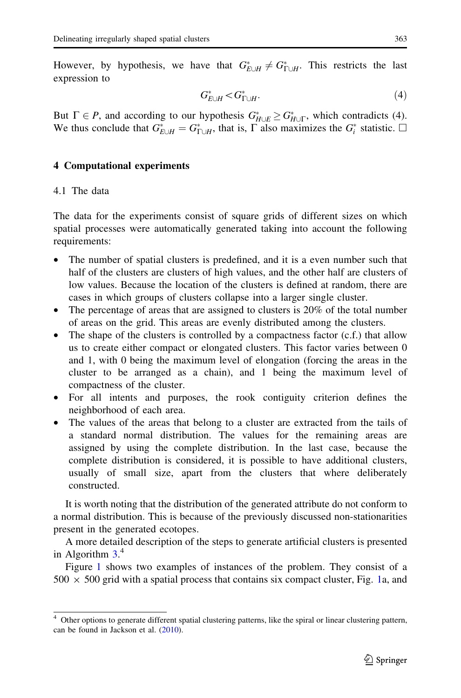However, by hypothesis, we have that  $G_{E\cup H}^* \neq G_{\Gamma\cup H}^*$ . This restricts the last expression to

$$
G_{E\cup H}^* < G_{\Gamma\cup H}^*.\tag{4}
$$

But  $\Gamma \in P$ , and according to our hypothesis  $G^*_{H \cup E} \geq G^*_{H \cup \Gamma}$ , which contradicts (4). We thus conclude that  $G_{E\cup H}^* = G_{\Gamma\cup H}^*$ , that is,  $\Gamma$  also maximizes the  $G_i^*$  statistic.  $\Box$ 

# 4 Computational experiments

## 4.1 The data

The data for the experiments consist of square grids of different sizes on which spatial processes were automatically generated taking into account the following requirements:

- The number of spatial clusters is predefined, and it is a even number such that half of the clusters are clusters of high values, and the other half are clusters of low values. Because the location of the clusters is defined at random, there are cases in which groups of clusters collapse into a larger single cluster.
- The percentage of areas that are assigned to clusters is 20% of the total number of areas on the grid. This areas are evenly distributed among the clusters.
- The shape of the clusters is controlled by a compactness factor  $(c.f.)$  that allow us to create either compact or elongated clusters. This factor varies between 0 and 1, with 0 being the maximum level of elongation (forcing the areas in the cluster to be arranged as a chain), and 1 being the maximum level of compactness of the cluster.
- For all intents and purposes, the rook contiguity criterion defines the neighborhood of each area.
- The values of the areas that belong to a cluster are extracted from the tails of a standard normal distribution. The values for the remaining areas are assigned by using the complete distribution. In the last case, because the complete distribution is considered, it is possible to have additional clusters, usually of small size, apart from the clusters that where deliberately constructed.

It is worth noting that the distribution of the generated attribute do not conform to a normal distribution. This is because of the previously discussed non-stationarities present in the generated ecotopes.

A more detailed description of the steps to generate artificial clusters is presented in Algorithm [3](#page-9-0). 4

Figure [1](#page-9-0) shows two examples of instances of the problem. They consist of a  $500 \times 500$  grid with a spatial process that contains six compact cluster, Fig. [1](#page-9-0)a, and

<sup>&</sup>lt;sup>4</sup> Other options to generate different spatial clustering patterns, like the spiral or linear clustering pattern, can be found in Jackson et al. [\(2010](#page-16-0)).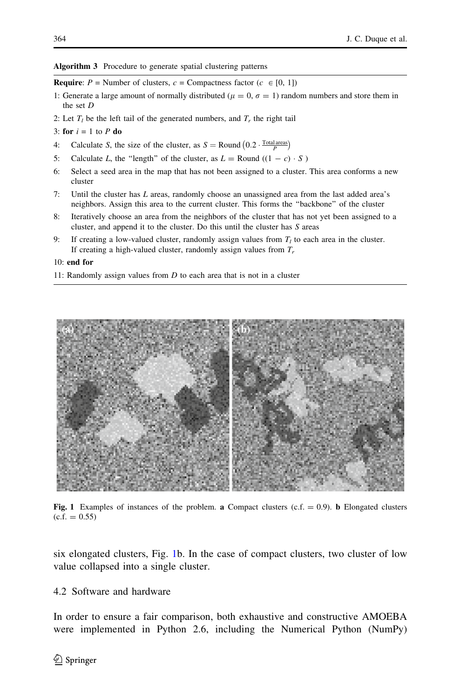<span id="page-9-0"></span>Algorithm 3 Procedure to generate spatial clustering patterns

**Require:**  $P =$  Number of clusters,  $c =$  Compactness factor ( $c \in [0, 1]$ )

- 1: Generate a large amount of normally distributed ( $\mu = 0$ ,  $\sigma = 1$ ) random numbers and store them in the set D
- 2: Let  $T_l$  be the left tail of the generated numbers, and  $T_r$  the right tail
- 3: for  $i = 1$  to P do
- 4: Calculate S, the size of the cluster, as  $S =$  Round  $(0.2 \cdot \frac{\text{Total areas}}{P})$
- 5: Calculate L, the "length" of the cluster, as  $L =$  Round  $((1 c) \cdot S)$
- 6: Select a seed area in the map that has not been assigned to a cluster. This area conforms a new cluster
- 7: Until the cluster has L areas, randomly choose an unassigned area from the last added area's neighbors. Assign this area to the current cluster. This forms the ''backbone'' of the cluster
- 8: Iteratively choose an area from the neighbors of the cluster that has not yet been assigned to a cluster, and append it to the cluster. Do this until the cluster has S areas
- 9: If creating a low-valued cluster, randomly assign values from  $T_l$  to each area in the cluster. If creating a high-valued cluster, randomly assign values from  $T_r$

#### 10: end for

11: Randomly assign values from  $D$  to each area that is not in a cluster



Fig. 1 Examples of instances of the problem. a Compact clusters (c.f.  $= 0.9$ ). b Elongated clusters  $(c.f. = 0.55)$ 

six elongated clusters, Fig. 1b. In the case of compact clusters, two cluster of low value collapsed into a single cluster.

# 4.2 Software and hardware

In order to ensure a fair comparison, both exhaustive and constructive AMOEBA were implemented in Python 2.6, including the Numerical Python (NumPy)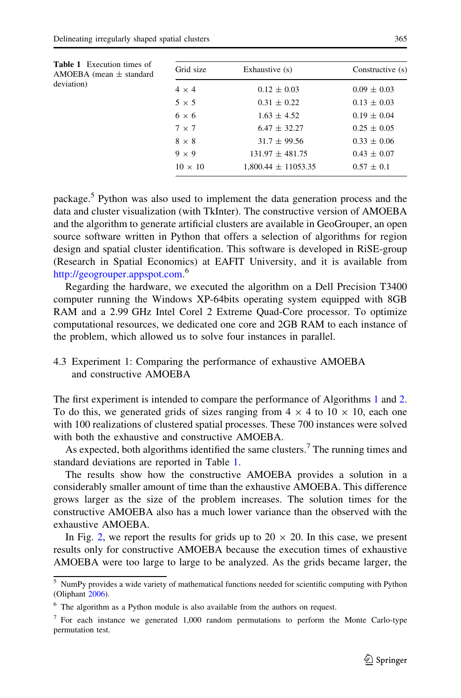<span id="page-10-0"></span>

| <b>Table 1</b> Execution times of<br>AMOEBA (mean $\pm$ standard<br>deviation) | Grid size      | Exhaustive (s)          | Constructive (s) |
|--------------------------------------------------------------------------------|----------------|-------------------------|------------------|
|                                                                                | $4 \times 4$   | $0.12 \pm 0.03$         | $0.09 \pm 0.03$  |
|                                                                                | $5 \times 5$   | $0.31 \pm 0.22$         | $0.13 \pm 0.03$  |
|                                                                                | $6 \times 6$   | $1.63 \pm 4.52$         | $0.19 \pm 0.04$  |
|                                                                                | $7 \times 7$   | $6.47 + 32.27$          | $0.25 \pm 0.05$  |
|                                                                                | $8 \times 8$   | $31.7 \pm 99.56$        | $0.33 \pm 0.06$  |
|                                                                                | $9 \times 9$   | $131.97 + 481.75$       | $0.43 \pm 0.07$  |
|                                                                                | $10 \times 10$ | $1,800.44 \pm 11053.35$ | $0.57 \pm 0.1$   |
|                                                                                |                |                         |                  |

package.<sup>5</sup> Python was also used to implement the data generation process and the data and cluster visualization (with TkInter). The constructive version of AMOEBA and the algorithm to generate artificial clusters are available in GeoGrouper, an open source software written in Python that offers a selection of algorithms for region design and spatial cluster identification. This software is developed in RiSE-group (Research in Spatial Economics) at EAFIT University, and it is available from [http://geogrouper.appspot.com.](http://geogrouper.appspot.com) 6

Regarding the hardware, we executed the algorithm on a Dell Precision T3400 computer running the Windows XP-64bits operating system equipped with 8GB RAM and a 2.99 GHz Intel Corel 2 Extreme Quad-Core processor. To optimize computational resources, we dedicated one core and 2GB RAM to each instance of the problem, which allowed us to solve four instances in parallel.

4.3 Experiment 1: Comparing the performance of exhaustive AMOEBA and constructive AMOEBA

The first experiment is intended to compare the performance of Algorithms [1](#page-4-0) and [2.](#page-6-0) To do this, we generated grids of sizes ranging from  $4 \times 4$  to  $10 \times 10$ , each one with 100 realizations of clustered spatial processes. These 700 instances were solved with both the exhaustive and constructive AMOEBA.

As expected, both algorithms identified the same clusters.<sup>7</sup> The running times and standard deviations are reported in Table 1.

The results show how the constructive AMOEBA provides a solution in a considerably smaller amount of time than the exhaustive AMOEBA. This difference grows larger as the size of the problem increases. The solution times for the constructive AMOEBA also has a much lower variance than the observed with the exhaustive AMOEBA.

In Fig. [2,](#page-11-0) we report the results for grids up to  $20 \times 20$ . In this case, we present results only for constructive AMOEBA because the execution times of exhaustive AMOEBA were too large to large to be analyzed. As the grids became larger, the

<sup>5</sup> NumPy provides a wide variety of mathematical functions needed for scientific computing with Python (Oliphant [2006](#page-16-0)).

<sup>6</sup> The algorithm as a Python module is also available from the authors on request.

<sup>7</sup> For each instance we generated 1,000 random permutations to perform the Monte Carlo-type permutation test.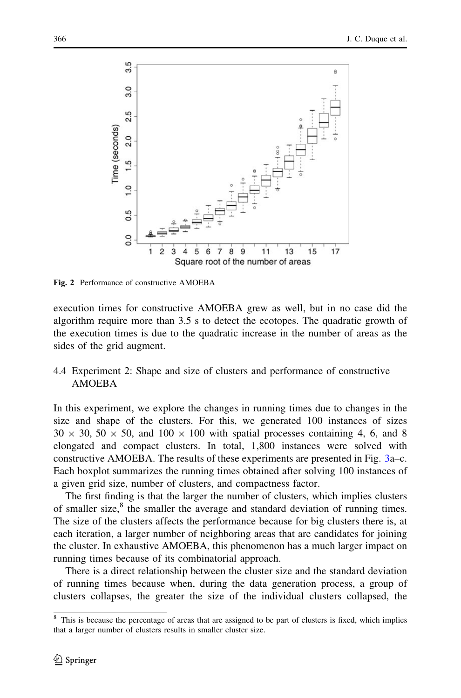<span id="page-11-0"></span>

Fig. 2 Performance of constructive AMOEBA

execution times for constructive AMOEBA grew as well, but in no case did the algorithm require more than 3.5 s to detect the ecotopes. The quadratic growth of the execution times is due to the quadratic increase in the number of areas as the sides of the grid augment.

# 4.4 Experiment 2: Shape and size of clusters and performance of constructive AMOEBA

In this experiment, we explore the changes in running times due to changes in the size and shape of the clusters. For this, we generated 100 instances of sizes  $30 \times 30, 50 \times 50$ , and  $100 \times 100$  with spatial processes containing 4, 6, and 8 elongated and compact clusters. In total, 1,800 instances were solved with constructive AMOEBA. The results of these experiments are presented in Fig. [3a](#page-12-0)–c. Each boxplot summarizes the running times obtained after solving 100 instances of a given grid size, number of clusters, and compactness factor.

The first finding is that the larger the number of clusters, which implies clusters of smaller size, $8$  the smaller the average and standard deviation of running times. The size of the clusters affects the performance because for big clusters there is, at each iteration, a larger number of neighboring areas that are candidates for joining the cluster. In exhaustive AMOEBA, this phenomenon has a much larger impact on running times because of its combinatorial approach.

There is a direct relationship between the cluster size and the standard deviation of running times because when, during the data generation process, a group of clusters collapses, the greater the size of the individual clusters collapsed, the

<sup>&</sup>lt;sup>8</sup> This is because the percentage of areas that are assigned to be part of clusters is fixed, which implies that a larger number of clusters results in smaller cluster size.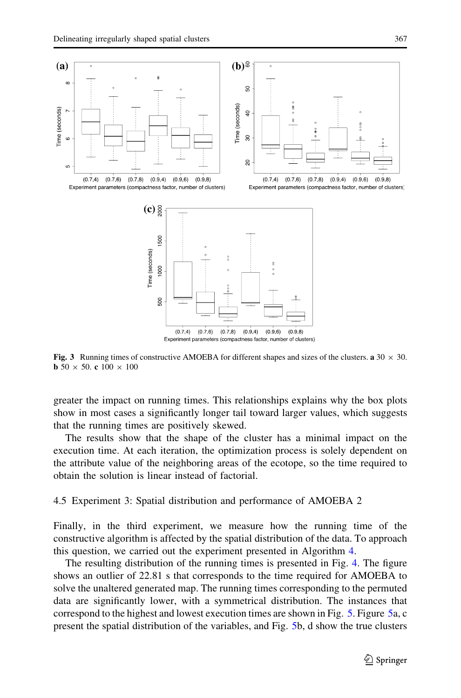<span id="page-12-0"></span>

Fig. 3 Running times of constructive AMOEBA for different shapes and sizes of the clusters. a  $30 \times 30$ . **b** 50  $\times$  50. c 100  $\times$  100

greater the impact on running times. This relationships explains why the box plots show in most cases a significantly longer tail toward larger values, which suggests that the running times are positively skewed.

The results show that the shape of the cluster has a minimal impact on the execution time. At each iteration, the optimization process is solely dependent on the attribute value of the neighboring areas of the ecotope, so the time required to obtain the solution is linear instead of factorial.

4.5 Experiment 3: Spatial distribution and performance of AMOEBA 2

Finally, in the third experiment, we measure how the running time of the constructive algorithm is affected by the spatial distribution of the data. To approach this question, we carried out the experiment presented in Algorithm [4.](#page-10-0)

The resulting distribution of the running times is presented in Fig. [4.](#page-13-0) The figure shows an outlier of 22.81 s that corresponds to the time required for AMOEBA to solve the unaltered generated map. The running times corresponding to the permuted data are significantly lower, with a symmetrical distribution. The instances that correspond to the highest and lowest execution times are shown in Fig. [5](#page-14-0). Figure [5](#page-14-0)a, c present the spatial distribution of the variables, and Fig. [5](#page-14-0)b, d show the true clusters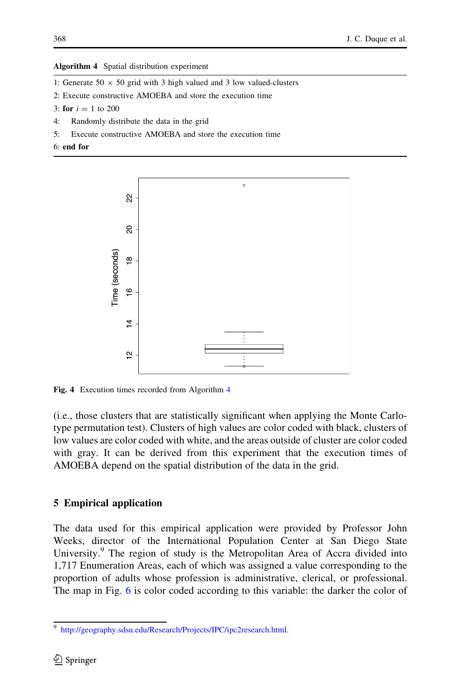#### <span id="page-13-0"></span>Algorithm 4 Spatial distribution experiment

- 1: Generate  $50 \times 50$  grid with 3 high valued and 3 low valued-clusters
- 2: Execute constructive AMOEBA and store the execution time
- 3: for  $i = 1$  to 200
- 4: Randomly distribute the data in the grid
- 5: Execute constructive AMOEBA and store the execution time
- 6: end for



Fig. 4 Execution times recorded from Algorithm [4](#page-10-0)

(i.e., those clusters that are statistically significant when applying the Monte Carlotype permutation test). Clusters of high values are color coded with black, clusters of low values are color coded with white, and the areas outside of cluster are color coded with gray. It can be derived from this experiment that the execution times of AMOEBA depend on the spatial distribution of the data in the grid.

## 5 Empirical application

The data used for this empirical application were provided by Professor John Weeks, director of the International Population Center at San Diego State University.<sup>9</sup> The region of study is the Metropolitan Area of Accra divided into 1,717 Enumeration Areas, each of which was assigned a value corresponding to the proportion of adults whose profession is administrative, clerical, or professional. The map in Fig. [6](#page-15-0) is color coded according to this variable: the darker the color of

<sup>9</sup> <http://geography.sdsu.edu/Research/Projects/IPC/ipc2research.html>.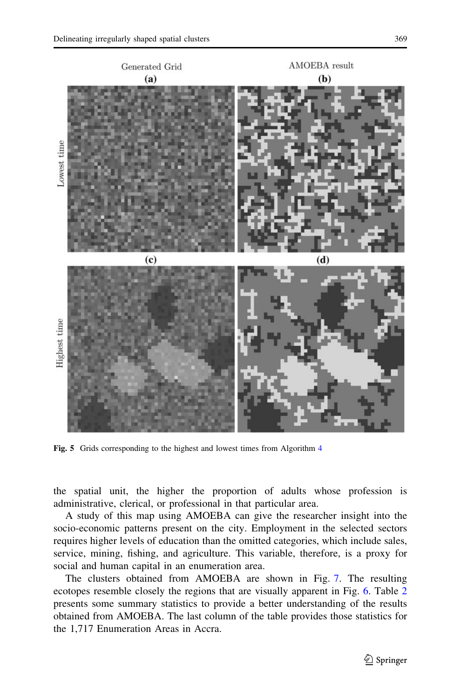<span id="page-14-0"></span>

Fig. 5 Grids corresponding to the highest and lowest times from Algorithm [4](#page-10-0)

the spatial unit, the higher the proportion of adults whose profession is administrative, clerical, or professional in that particular area.

A study of this map using AMOEBA can give the researcher insight into the socio-economic patterns present on the city. Employment in the selected sectors requires higher levels of education than the omitted categories, which include sales, service, mining, fishing, and agriculture. This variable, therefore, is a proxy for social and human capital in an enumeration area.

The clusters obtained from AMOEBA are shown in Fig. [7](#page-15-0). The resulting ecotopes resemble closely the regions that are visually apparent in Fig. [6](#page-15-0). Table [2](#page-16-0) presents some summary statistics to provide a better understanding of the results obtained from AMOEBA. The last column of the table provides those statistics for the 1,717 Enumeration Areas in Accra.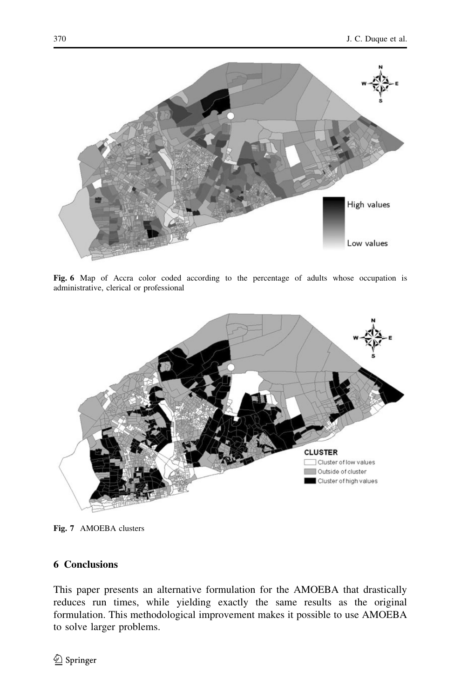<span id="page-15-0"></span>

Fig. 6 Map of Accra color coded according to the percentage of adults whose occupation is administrative, clerical or professional



Fig. 7 AMOEBA clusters

# 6 Conclusions

This paper presents an alternative formulation for the AMOEBA that drastically reduces run times, while yielding exactly the same results as the original formulation. This methodological improvement makes it possible to use AMOEBA to solve larger problems.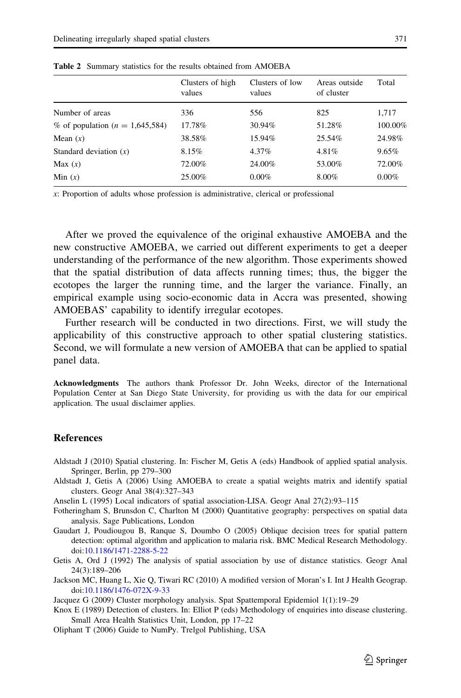|                                     | Clusters of high<br>values | Clusters of low<br>values | Areas outside<br>of cluster | Total    |
|-------------------------------------|----------------------------|---------------------------|-----------------------------|----------|
| Number of areas                     | 336                        | 556                       | 825                         | 1,717    |
| % of population ( $n = 1,645,584$ ) | 17.78%                     | 30.94%                    | 51.28%                      | 100.00%  |
| Mean $(x)$                          | 38.58%                     | 15.94%                    | 25.54%                      | 24.98%   |
| Standard deviation $(x)$            | 8.15%                      | 4.37%                     | 4.81%                       | 9.65%    |
| Max $(x)$                           | 72.00%                     | 24.00%                    | 53.00%                      | 72.00%   |
| Min $(x)$                           | 25.00%                     | $0.00\%$                  | 8.00%                       | $0.00\%$ |
|                                     |                            |                           |                             |          |

<span id="page-16-0"></span>Table 2 Summary statistics for the results obtained from AMOEBA

x: Proportion of adults whose profession is administrative, clerical or professional

After we proved the equivalence of the original exhaustive AMOEBA and the new constructive AMOEBA, we carried out different experiments to get a deeper understanding of the performance of the new algorithm. Those experiments showed that the spatial distribution of data affects running times; thus, the bigger the ecotopes the larger the running time, and the larger the variance. Finally, an empirical example using socio-economic data in Accra was presented, showing AMOEBAS' capability to identify irregular ecotopes.

Further research will be conducted in two directions. First, we will study the applicability of this constructive approach to other spatial clustering statistics. Second, we will formulate a new version of AMOEBA that can be applied to spatial panel data.

Acknowledgments The authors thank Professor Dr. John Weeks, director of the International Population Center at San Diego State University, for providing us with the data for our empirical application. The usual disclaimer applies.

### **References**

- Aldstadt J (2010) Spatial clustering. In: Fischer M, Getis A (eds) Handbook of applied spatial analysis. Springer, Berlin, pp 279–300
- Aldstadt J, Getis A (2006) Using AMOEBA to create a spatial weights matrix and identify spatial clusters. Geogr Anal 38(4):327–343
- Anselin L (1995) Local indicators of spatial association-LISA. Geogr Anal 27(2):93–115
- Fotheringham S, Brunsdon C, Charlton M (2000) Quantitative geography: perspectives on spatial data analysis. Sage Publications, London
- Gaudart J, Poudiougou B, Ranque S, Doumbo O (2005) Oblique decision trees for spatial pattern detection: optimal algorithm and application to malaria risk. BMC Medical Research Methodology. doi[:10.1186/1471-2288-5-22](http://dx.doi.org/10.1186/1471-2288-5-22)
- Getis A, Ord J (1992) The analysis of spatial association by use of distance statistics. Geogr Anal 24(3):189–206
- Jackson MC, Huang L, Xie Q, Tiwari RC (2010) A modified version of Moran's I. Int J Health Geograp. doi[:10.1186/1476-072X-9-33](http://dx.doi.org/10.1186/1476-072X-9-33)

Jacquez G (2009) Cluster morphology analysis. Spat Spattemporal Epidemiol 1(1):19–29

- Knox E (1989) Detection of clusters. In: Elliot P (eds) Methodology of enquiries into disease clustering. Small Area Health Statistics Unit, London, pp 17–22
- Oliphant T (2006) Guide to NumPy. Trelgol Publishing, USA